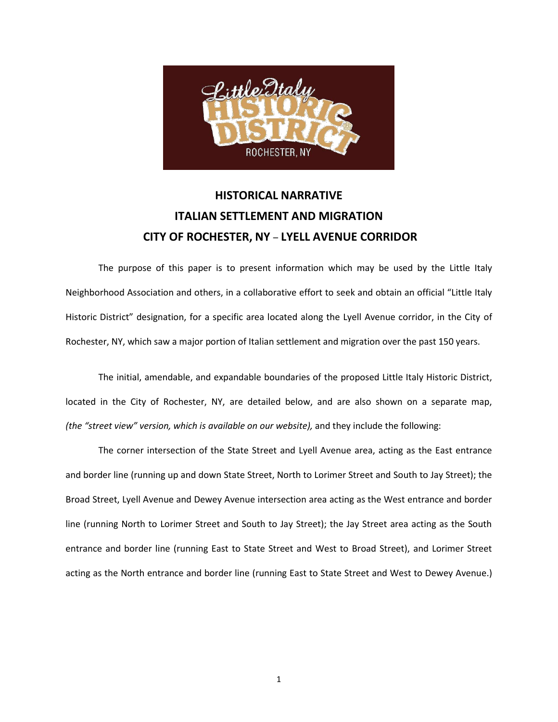

## **HISTORICAL NARRATIVE ITALIAN SETTLEMENT AND MIGRATION CITY OF ROCHESTER, NY** – **LYELL AVENUE CORRIDOR**

The purpose of this paper is to present information which may be used by the Little Italy Neighborhood Association and others, in a collaborative effort to seek and obtain an official "Little Italy Historic District" designation, for a specific area located along the Lyell Avenue corridor, in the City of Rochester, NY, which saw a major portion of Italian settlement and migration over the past 150 years.

The initial, amendable, and expandable boundaries of the proposed Little Italy Historic District, located in the City of Rochester, NY, are detailed below, and are also shown on a separate map, *(the "street view" version, which is available on our website),* and they include the following:

The corner intersection of the State Street and Lyell Avenue area, acting as the East entrance and border line (running up and down State Street, North to Lorimer Street and South to Jay Street); the Broad Street, Lyell Avenue and Dewey Avenue intersection area acting as the West entrance and border line (running North to Lorimer Street and South to Jay Street); the Jay Street area acting as the South entrance and border line (running East to State Street and West to Broad Street), and Lorimer Street acting as the North entrance and border line (running East to State Street and West to Dewey Avenue.)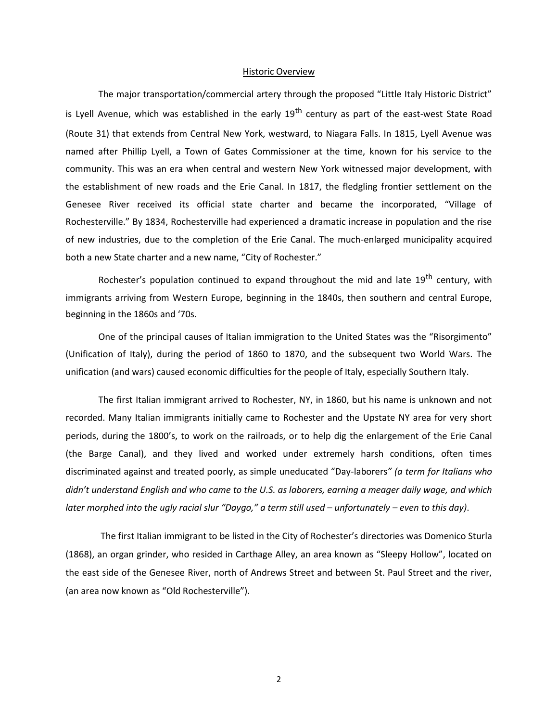## Historic Overview

The major transportation/commercial artery through the proposed "Little Italy Historic District" is Lyell Avenue, which was established in the early 19<sup>th</sup> century as part of the east-west State Road (Route 31) that extends from Central New York, westward, to Niagara Falls. In 1815, Lyell Avenue was named after Phillip Lyell, a Town of Gates Commissioner at the time, known for his service to the community. This was an era when central and western New York witnessed major development, with the establishment of new roads and the Erie Canal. In 1817, the fledgling frontier settlement on the Genesee River received its official state charter and became the incorporated, "Village of Rochesterville." By 1834, Rochesterville had experienced a dramatic increase in population and the rise of new industries, due to the completion of the Erie Canal. The much-enlarged municipality acquired both a new State charter and a new name, "City of Rochester."

Rochester's population continued to expand throughout the mid and late  $19<sup>th</sup>$  century, with immigrants arriving from Western Europe, beginning in the 1840s, then southern and central Europe, beginning in the 1860s and '70s.

One of the principal causes of Italian immigration to the United States was the "Risorgimento" (Unification of Italy), during the period of 1860 to 1870, and the subsequent two World Wars. The unification (and wars) caused economic difficulties for the people of Italy, especially Southern Italy.

The first Italian immigrant arrived to Rochester, NY, in 1860, but his name is unknown and not recorded. Many Italian immigrants initially came to Rochester and the Upstate NY area for very short periods, during the 1800's, to work on the railroads, or to help dig the enlargement of the Erie Canal (the Barge Canal), and they lived and worked under extremely harsh conditions, often times discriminated against and treated poorly, as simple uneducated "Day-laborers*" (a term for Italians who didn't understand English and who came to the U.S. as laborers, earning a meager daily wage, and which later morphed into the ugly racial slur "Daygo," a term still used – unfortunately – even to this day)*.

The first Italian immigrant to be listed in the City of Rochester's directories was Domenico Sturla (1868), an organ grinder, who resided in Carthage Alley, an area known as "Sleepy Hollow", located on the east side of the Genesee River, north of Andrews Street and between St. Paul Street and the river, (an area now known as "Old Rochesterville").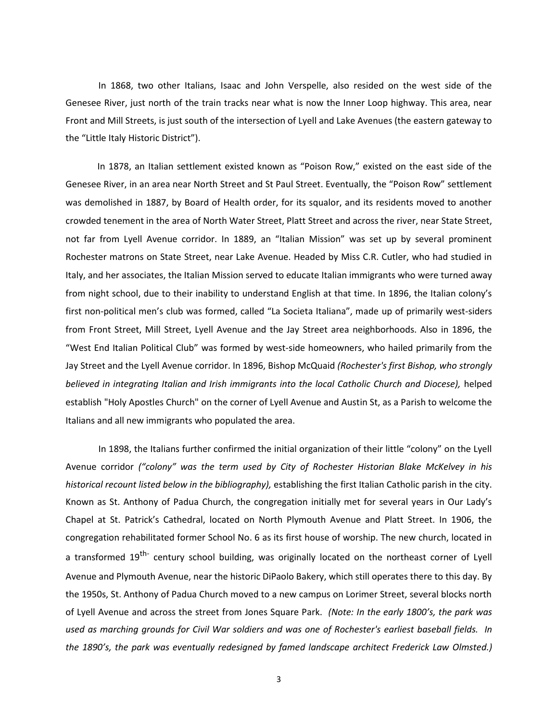In 1868, two other Italians, Isaac and John Verspelle, also resided on the west side of the Genesee River, just north of the train tracks near what is now the Inner Loop highway. This area, near Front and Mill Streets, is just south of the intersection of Lyell and Lake Avenues (the eastern gateway to the "Little Italy Historic District").

In 1878, an Italian settlement existed known as "Poison Row," existed on the east side of the Genesee River, in an area near North Street and St Paul Street. Eventually, the "Poison Row" settlement was demolished in 1887, by Board of Health order, for its squalor, and its residents moved to another crowded tenement in the area of North Water Street, Platt Street and across the river, near State Street, not far from Lyell Avenue corridor. In 1889, an "Italian Mission" was set up by several prominent Rochester matrons on State Street, near Lake Avenue. Headed by Miss C.R. Cutler, who had studied in Italy, and her associates, the Italian Mission served to educate Italian immigrants who were turned away from night school, due to their inability to understand English at that time. In 1896, the Italian colony's first non-political men's club was formed, called "La Societa Italiana", made up of primarily west-siders from Front Street, Mill Street, Lyell Avenue and the Jay Street area neighborhoods. Also in 1896, the "West End Italian Political Club" was formed by west-side homeowners, who hailed primarily from the Jay Street and the Lyell Avenue corridor. In 1896, Bishop McQuaid *(Rochester's first Bishop, who strongly believed in integrating Italian and Irish immigrants into the local Catholic Church and Diocese),* helped establish "Holy Apostles Church" on the corner of Lyell Avenue and Austin St, as a Parish to welcome the Italians and all new immigrants who populated the area.

In 1898, the Italians further confirmed the initial organization of their little "colony" on the Lyell Avenue corridor *("colony" was the term used by City of Rochester Historian Blake McKelvey in his historical recount listed below in the bibliography),* establishing the first Italian Catholic parish in the city. Known as St. Anthony of Padua Church, the congregation initially met for several years in Our Lady's Chapel at St. Patrick's Cathedral, located on North Plymouth Avenue and Platt Street. In 1906, the congregation rehabilitated former School No. 6 as its first house of worship. The new church, located in a transformed 19<sup>th-</sup> century school building, was originally located on the northeast corner of Lyell Avenue and Plymouth Avenue, near the historic DiPaolo Bakery, which still operates there to this day. By the 1950s, St. Anthony of Padua Church moved to a new campus on Lorimer Street, several blocks north of Lyell Avenue and across the street from Jones Square Park. *(Note: In the early 1800's, the park was used as marching grounds for Civil War soldiers and was one of Rochester's earliest baseball fields. In the 1890's, the park was eventually redesigned by famed landscape architect Frederick Law Olmsted.)*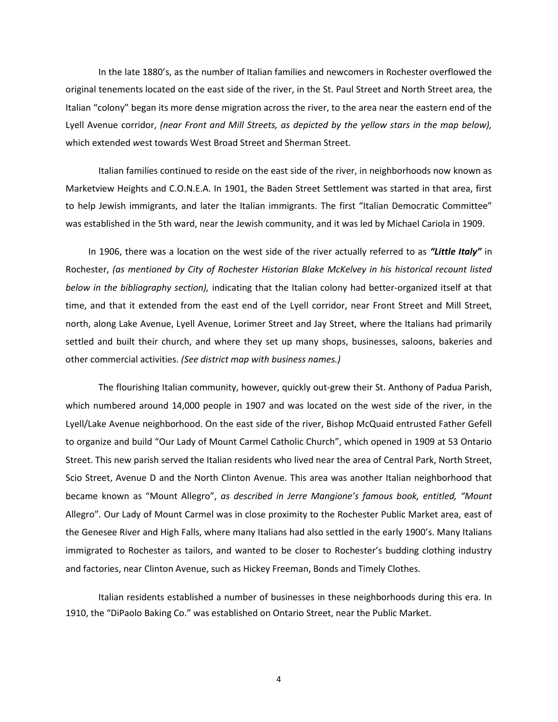In the late 1880's, as the number of Italian families and newcomers in Rochester overflowed the original tenements located on the east side of the river, in the St. Paul Street and North Street area*,* the Italian "colony" began its more dense migration across the river, to the area near the eastern end of the Lyell Avenue corridor, *(near Front and Mill Streets, as depicted by the yellow stars in the map below),* which extended *w*est towards West Broad Street and Sherman Street.

Italian families continued to reside on the east side of the river, in neighborhoods now known as Marketview Heights and C.O.N.E.A. In 1901, the Baden Street Settlement was started in that area, first to help Jewish immigrants, and later the Italian immigrants. The first "Italian Democratic Committee" was established in the 5th ward, near the Jewish community, and it was led by Michael Cariola in 1909.

In 1906, there was a location on the west side of the river actually referred to as *"Little Italy"* in Rochester, *(as mentioned by City of Rochester Historian Blake McKelvey in his historical recount listed below in the bibliography section),* indicating that the Italian colony had better-organized itself at that time, and that it extended from the east end of the Lyell corridor, near Front Street and Mill Street, north, along Lake Avenue, Lyell Avenue, Lorimer Street and Jay Street, where the Italians had primarily settled and built their church, and where they set up many shops, businesses, saloons, bakeries and other commercial activities. *(See district map with business names.)*

The flourishing Italian community, however, quickly out-grew their St. Anthony of Padua Parish, which numbered around 14,000 people in 1907 and was located on the west side of the river, in the Lyell/Lake Avenue neighborhood. On the east side of the river, Bishop McQuaid entrusted Father Gefell to organize and build "Our Lady of Mount Carmel Catholic Church", which opened in 1909 at 53 Ontario Street. This new parish served the Italian residents who lived near the area of Central Park, North Street, Scio Street, Avenue D and the North Clinton Avenue. This area was another Italian neighborhood that became known as "Mount Allegro", *as described in Jerre Mangione's famous book, entitled, "Mount* Allegro"*.* Our Lady of Mount Carmel was in close proximity to the Rochester Public Market area*,* east of the Genesee River and High Falls, where many Italians had also settled in the early 1900's. Many Italians immigrated to Rochester as tailors, and wanted to be closer to Rochester's budding clothing industry and factories, near Clinton Avenue, such as Hickey Freeman, Bonds and Timely Clothes.

Italian residents established a number of businesses in these neighborhoods during this era. In 1910, the "DiPaolo Baking Co." was established on Ontario Street, near the Public Market.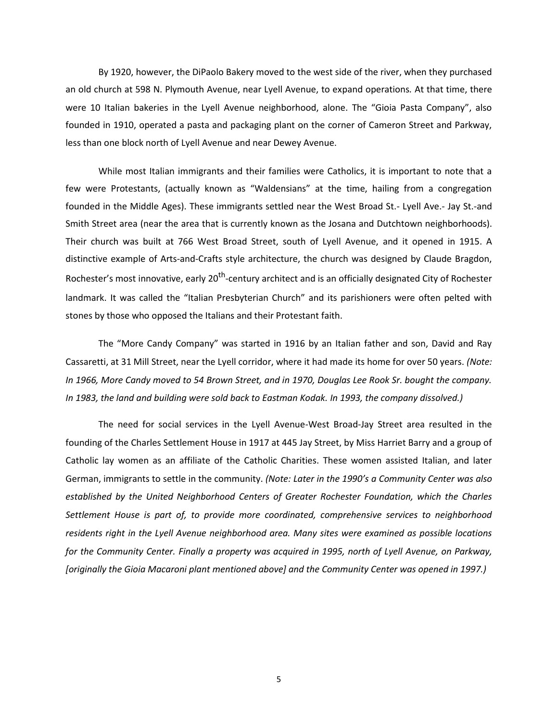By 1920, however, the DiPaolo Bakery moved to the west side of the river, when they purchased an old church at 598 N. Plymouth Avenue, near Lyell Avenue, to expand operations*.* At that time, there were 10 Italian bakeries in the Lyell Avenue neighborhood, alone. The "Gioia Pasta Company", also founded in 1910, operated a pasta and packaging plant on the corner of Cameron Street and Parkway, less than one block north of Lyell Avenue and near Dewey Avenue.

While most Italian immigrants and their families were Catholics, it is important to note that a few were Protestants, (actually known as "Waldensians" at the time, hailing from a congregation founded in the Middle Ages). These immigrants settled near the West Broad St.- Lyell Ave.- Jay St.-and Smith Street area (near the area that is currently known as the Josana and Dutchtown neighborhoods). Their church was built at 766 West Broad Street, south of Lyell Avenue, and it opened in 1915. A distinctive example of Arts-and-Crafts style architecture, the church was designed by Claude Bragdon, Rochester's most innovative, early 20<sup>th</sup>-century architect and is an officially designated City of Rochester landmark. It was called the "Italian Presbyterian Church" and its parishioners were often pelted with stones by those who opposed the Italians and their Protestant faith.

The "More Candy Company" was started in 1916 by an Italian father and son, David and Ray Cassaretti, at 31 Mill Street, near the Lyell corridor, where it had made its home for over 50 years. *(Note: In 1966, More Candy moved to 54 Brown Street, and in 1970, Douglas Lee Rook Sr. bought the company. In 1983, the land and building were sold back to Eastman Kodak. In 1993, the company dissolved.)*

The need for social services in the Lyell Avenue-West Broad-Jay Street area resulted in the founding of the Charles Settlement House in 1917 at 445 Jay Street, by Miss Harriet Barry and a group of Catholic lay women as an affiliate of the Catholic Charities. These women assisted Italian, and later German, immigrants to settle in the community. *(Note: Later in the 1990's a Community Center was also established by the United Neighborhood Centers of Greater Rochester Foundation, which the Charles Settlement House is part of, to provide more coordinated, comprehensive services to neighborhood residents right in the Lyell Avenue neighborhood area. Many sites were examined as possible locations for the Community Center. Finally a property was acquired in 1995, north of Lyell Avenue, on Parkway, [originally the Gioia Macaroni plant mentioned above] and the Community Center was opened in 1997.)*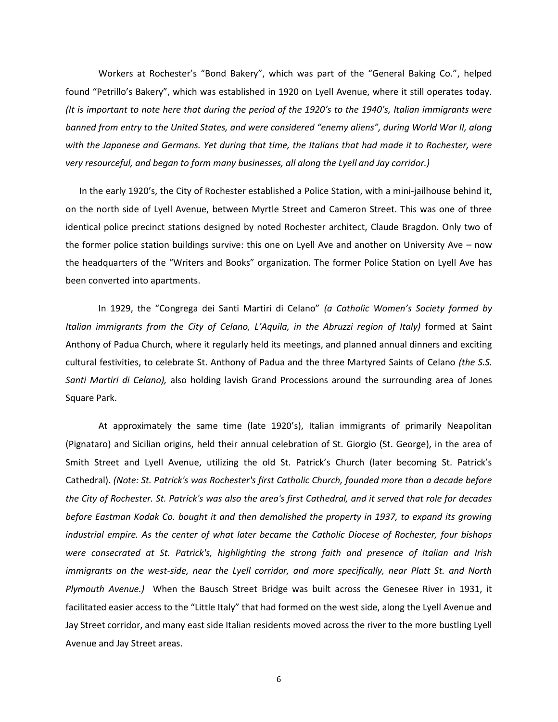Workers at Rochester's "Bond Bakery", which was part of the "General Baking Co.", helped found "Petrillo's Bakery", which was established in 1920 on Lyell Avenue, where it still operates today. *(It is important to note here that during the period of the 1920's to the 1940's, Italian immigrants were banned from entry to the United States, and were considered "enemy aliens", during World War II, along with the Japanese and Germans. Yet during that time, the Italians that had made it to Rochester, were very resourceful, and began to form many businesses, all along the Lyell and Jay corridor.)*

In the early 1920's, the City of Rochester established a Police Station, with a mini-jailhouse behind it, on the north side of Lyell Avenue, between Myrtle Street and Cameron Street. This was one of three identical police precinct stations designed by noted Rochester architect, Claude Bragdon. Only two of the former police station buildings survive: this one on Lyell Ave and another on University Ave – now the headquarters of the "Writers and Books" organization. The former Police Station on Lyell Ave has been converted into apartments.

In 1929, the "Congrega dei Santi Martiri di Celano" *(a Catholic Women's Society formed by* Italian immigrants from the City of Celano, L'Aquila, in the Abruzzi region of Italy) formed at Saint Anthony of Padua Church, where it regularly held its meetings, and planned annual dinners and exciting cultural festivities, to celebrate St. Anthony of Padua and the three Martyred Saints of Celano *(the S.S. Santi Martiri di Celano),* also holding lavish Grand Processions around the surrounding area of Jones Square Park.

At approximately the same time (late 1920's), Italian immigrants of primarily Neapolitan (Pignataro) and Sicilian origins, held their annual celebration of St. Giorgio (St. George), in the area of Smith Street and Lyell Avenue, utilizing the old St. Patrick's Church (later becoming St. Patrick's Cathedral). *(Note: St. Patrick's was Rochester's first Catholic Church, founded more than a decade before the City of Rochester. St. Patrick's was also the area's first Cathedral, and it served that role for decades before Eastman Kodak Co. bought it and then demolished the property in 1937, to expand its growing industrial empire. As the center of what later became the Catholic Diocese of Rochester, four bishops were consecrated at St. Patrick's, highlighting the strong faith and presence of Italian and Irish immigrants on the west-side, near the Lyell corridor, and more specifically, near Platt St. and North Plymouth Avenue.)* When the Bausch Street Bridge was built across the Genesee River in 1931, it facilitated easier access to the "Little Italy" that had formed on the west side, along the Lyell Avenue and Jay Street corridor, and many east side Italian residents moved across the river to the more bustling Lyell Avenue and Jay Street areas.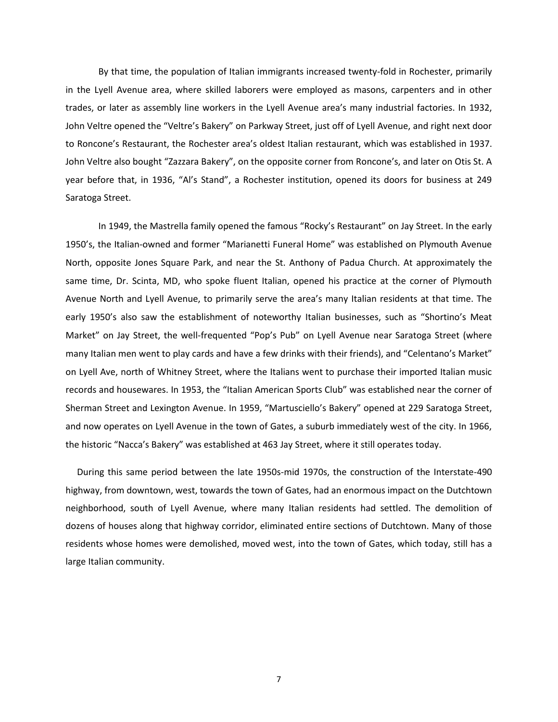By that time, the population of Italian immigrants increased twenty-fold in Rochester, primarily in the Lyell Avenue area, where skilled laborers were employed as masons, carpenters and in other trades, or later as assembly line workers in the Lyell Avenue area's many industrial factories. In 1932, John Veltre opened the "Veltre's Bakery" on Parkway Street, just off of Lyell Avenue, and right next door to Roncone's Restaurant, the Rochester area's oldest Italian restaurant, which was established in 1937. John Veltre also bought "Zazzara Bakery", on the opposite corner from Roncone's, and later on Otis St. A year before that, in 1936, "Al's Stand", a Rochester institution, opened its doors for business at 249 Saratoga Street.

In 1949, the Mastrella family opened the famous "Rocky's Restaurant" on Jay Street. In the early 1950's, the Italian-owned and former "Marianetti Funeral Home" was established on Plymouth Avenue North, opposite Jones Square Park, and near the St. Anthony of Padua Church. At approximately the same time, Dr. Scinta, MD, who spoke fluent Italian, opened his practice at the corner of Plymouth Avenue North and Lyell Avenue, to primarily serve the area's many Italian residents at that time. The early 1950's also saw the establishment of noteworthy Italian businesses, such as "Shortino's Meat Market" on Jay Street, the well-frequented "Pop's Pub" on Lyell Avenue near Saratoga Street (where many Italian men went to play cards and have a few drinks with their friends), and "Celentano's Market" on Lyell Ave, north of Whitney Street, where the Italians went to purchase their imported Italian music records and housewares. In 1953, the "Italian American Sports Club" was established near the corner of Sherman Street and Lexington Avenue. In 1959, "Martusciello's Bakery" opened at 229 Saratoga Street, and now operates on Lyell Avenue in the town of Gates, a suburb immediately west of the city. In 1966, the historic "Nacca's Bakery" was established at 463 Jay Street, where it still operates today.

During this same period between the late 1950s-mid 1970s, the construction of the Interstate-490 highway, from downtown, west, towards the town of Gates, had an enormous impact on the Dutchtown neighborhood, south of Lyell Avenue, where many Italian residents had settled. The demolition of dozens of houses along that highway corridor, eliminated entire sections of Dutchtown. Many of those residents whose homes were demolished, moved west, into the town of Gates, which today, still has a large Italian community.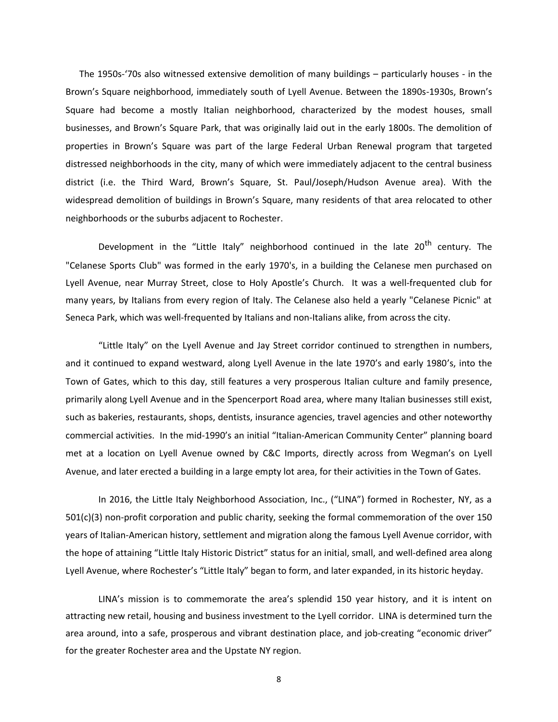The 1950s-'70s also witnessed extensive demolition of many buildings – particularly houses - in the Brown's Square neighborhood, immediately south of Lyell Avenue. Between the 1890s-1930s, Brown's Square had become a mostly Italian neighborhood, characterized by the modest houses, small businesses, and Brown's Square Park, that was originally laid out in the early 1800s. The demolition of properties in Brown's Square was part of the large Federal Urban Renewal program that targeted distressed neighborhoods in the city, many of which were immediately adjacent to the central business district (i.e. the Third Ward, Brown's Square, St. Paul/Joseph/Hudson Avenue area). With the widespread demolition of buildings in Brown's Square, many residents of that area relocated to other neighborhoods or the suburbs adjacent to Rochester.

Development in the "Little Italy" neighborhood continued in the late  $20<sup>th</sup>$  century. The "Celanese Sports Club" was formed in the early 1970's, in a building the Celanese men purchased on Lyell Avenue, near Murray Street, close to Holy Apostle's Church. It was a well-frequented club for many years, by Italians from every region of Italy. The Celanese also held a yearly "Celanese Picnic" at Seneca Park, which was well-frequented by Italians and non-Italians alike, from across the city.

"Little Italy" on the Lyell Avenue and Jay Street corridor continued to strengthen in numbers, and it continued to expand westward, along Lyell Avenue in the late 1970's and early 1980's, into the Town of Gates, which to this day, still features a very prosperous Italian culture and family presence, primarily along Lyell Avenue and in the Spencerport Road area, where many Italian businesses still exist, such as bakeries, restaurants, shops, dentists, insurance agencies, travel agencies and other noteworthy commercial activities. In the mid-1990's an initial "Italian-American Community Center" planning board met at a location on Lyell Avenue owned by C&C Imports, directly across from Wegman's on Lyell Avenue, and later erected a building in a large empty lot area, for their activities in the Town of Gates.

In 2016, the Little Italy Neighborhood Association, Inc., ("LINA") formed in Rochester, NY, as a 501(c)(3) non-profit corporation and public charity, seeking the formal commemoration of the over 150 years of Italian-American history, settlement and migration along the famous Lyell Avenue corridor, with the hope of attaining "Little Italy Historic District" status for an initial, small, and well-defined area along Lyell Avenue, where Rochester's "Little Italy" began to form, and later expanded, in its historic heyday.

LINA's mission is to commemorate the area's splendid 150 year history, and it is intent on attracting new retail, housing and business investment to the Lyell corridor. LINA is determined turn the area around, into a safe, prosperous and vibrant destination place, and job-creating "economic driver" for the greater Rochester area and the Upstate NY region.